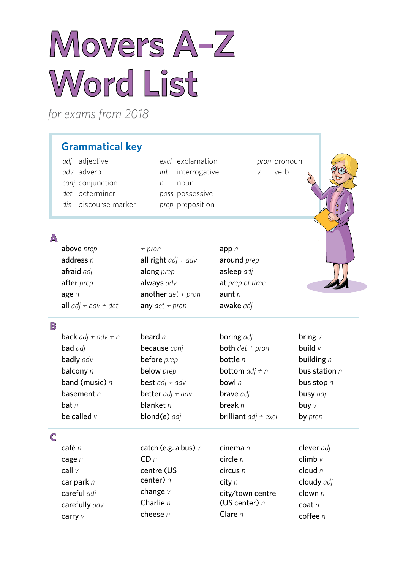# **Movers A–Z Word List**

*+ pron*

*for exams from 2018*

## **Grammatical key**

*adj* adjective *adv* adverb *conj* conjunction *det* determiner *dis* discourse marker *excl* exclamation *int* interrogative *n* noun *poss* possessive *prep* preposition

*pron* pronoun *v* verb

### **A**

above *prep*

car park *n* careful *adj* carefully *adv*

carry *v*

|                         | address n<br>afraid adj<br>after prep<br>age $n$<br>all $adj + adv + det$ | all right $adj + adv$<br>along <i>prep</i><br>always adv<br>another $det + pron$<br>any $det + pron$ | around prep<br>asleep adj<br>at prep of time<br>aunt $n$<br>awake adj |                 |
|-------------------------|---------------------------------------------------------------------------|------------------------------------------------------------------------------------------------------|-----------------------------------------------------------------------|-----------------|
| $\mathbb{B}$            |                                                                           |                                                                                                      |                                                                       |                 |
|                         | <b>back</b> $adj + adv + n$                                               | beard $n$                                                                                            | <b>boring</b> adj                                                     | bring $V$       |
|                         | <b>bad</b> adj                                                            | because conj                                                                                         | <b>both</b> $det + pron$                                              | build $v$       |
|                         | badly adv                                                                 | before prep                                                                                          | bottle $n$                                                            | building $n$    |
|                         | balcony n                                                                 | below prep                                                                                           | <b>bottom</b> $adj + n$                                               | bus station $n$ |
|                         | band (music) $n$                                                          | <b>best</b> $adj + adv$                                                                              | bowl $n$                                                              | bus stop n      |
|                         | basement $n$                                                              | <b>better</b> $adj + adv$                                                                            | brave adj                                                             | busy adj        |
|                         | $\mathbf{bat}$ $n$                                                        | blanket $n$                                                                                          | break $n$                                                             | buy $V$         |
|                         | be called $v$                                                             | blond(e) adj                                                                                         | <b>brilliant</b> $adj + excl$                                         | by prep         |
| $\overline{\mathsf{C}}$ |                                                                           |                                                                                                      |                                                                       |                 |
|                         | café n                                                                    | catch (e.g. a bus) $\nu$                                                                             | cinema $n$                                                            | clever adj      |
|                         | cage $n$                                                                  | CDn                                                                                                  | circle n                                                              | climb $v$       |
|                         | call v                                                                    | centre (US                                                                                           | circus n                                                              | cloud $n$       |
|                         | car nark n                                                                | center) $n$                                                                                          | <b>city</b> n                                                         | cloudy adi      |

app *n*

change *v* Charlie *n* cheese *n* city *n* city/town centre (US center) *n*  Clare *n*

cloudy *adj* clown *n* coat *n* coffee *n*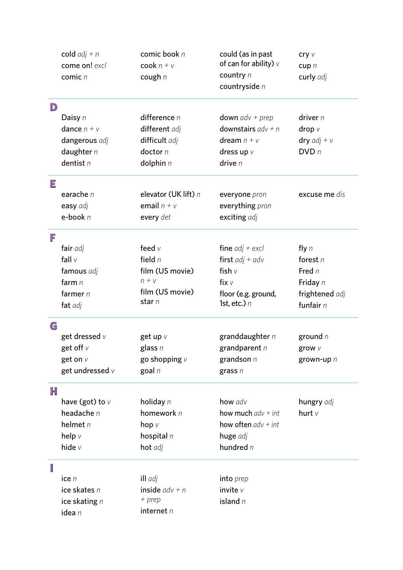|                                                                                                            | cold $adj + n$<br>come on! excl<br>comic n | comic book n<br>cook $n + v$<br>cough $n$ | could (as in past<br>of can for ability) $\nu$<br>country n<br>countryside n | cry v<br>cupp n<br>curly adj |
|------------------------------------------------------------------------------------------------------------|--------------------------------------------|-------------------------------------------|------------------------------------------------------------------------------|------------------------------|
| $\mathsf{D}% _{T}=\mathsf{D}_{T}\!\left( a,b\right) ,\ \mathsf{D}_{T}=\mathsf{D}_{T}\!\left( a,b\right) ,$ |                                            |                                           |                                                                              |                              |
|                                                                                                            | Daisy n                                    | difference $n$                            | <b>down</b> $adv + prep$                                                     | driver $n$                   |
|                                                                                                            | dance $n + v$                              | different adj                             | downstairs $adv + n$                                                         | drop $V$                     |
|                                                                                                            | dangerous adj                              | difficult adj                             | dream $n + v$                                                                | dry $adj + v$                |
|                                                                                                            | daughter $n$                               | doctor $n$                                | dress up $V$                                                                 | DVDn                         |
|                                                                                                            | dentist $n$                                | dolphin $n$                               | drive $n$                                                                    |                              |
| Ε                                                                                                          |                                            |                                           |                                                                              |                              |
|                                                                                                            | earache n                                  | elevator (UK lift) n                      | everyone pron                                                                | excuse me dis                |
|                                                                                                            | easy adj                                   | email $n + v$                             | everything pron                                                              |                              |
|                                                                                                            | $e$ -book $n$                              | every det                                 | exciting adj                                                                 |                              |
| F                                                                                                          |                                            |                                           |                                                                              |                              |
|                                                                                                            | fair adj                                   | feed $V$                                  | fine $adj + excl$                                                            | fly $n$                      |
|                                                                                                            | fall $v$                                   | field $n$                                 | first $adj + adv$                                                            | forest $n$                   |
|                                                                                                            | famous adj                                 | film (US movie)                           | fish $v$                                                                     | Fred n                       |
|                                                                                                            | farm $n$                                   | $n + v$                                   | fix $\vee$                                                                   | Friday n                     |
|                                                                                                            | farmer $n$                                 | film (US movie)                           | floor (e.g. ground,                                                          | frightened adj               |
|                                                                                                            | fat adj                                    | star n                                    | 1st, etc.) $n$                                                               | funfair $n$                  |
| G                                                                                                          |                                            |                                           |                                                                              |                              |
|                                                                                                            | get dressed $v$                            | get up v                                  | granddaughter n                                                              | ground $n$                   |
|                                                                                                            | get off $\vee$                             | glass $n$                                 | grandparent $n$                                                              | grow v                       |
|                                                                                                            | get on $V$                                 | go shopping $V$                           | grandson $n$                                                                 | grown-up n                   |
|                                                                                                            | get undressed v                            | goal $n$                                  | grass $n$                                                                    |                              |
| H                                                                                                          |                                            |                                           |                                                                              |                              |
|                                                                                                            | have (got) to $V$                          | holiday $n$                               | how adv                                                                      | hungry adj                   |
|                                                                                                            | headache $n$                               | homework n                                | how much $adv + int$                                                         | hurt $V$                     |
|                                                                                                            | helmet $n$                                 | hop $V$                                   | how often $adv + int$                                                        |                              |
|                                                                                                            | help $V$                                   | hospital $n$                              | huge adj                                                                     |                              |
|                                                                                                            | hide $v$                                   | hot adj                                   | hundred $n$                                                                  |                              |
|                                                                                                            |                                            |                                           |                                                                              |                              |
|                                                                                                            | ice $n$                                    | ill adj                                   | into prep                                                                    |                              |
|                                                                                                            | ice skates n                               | inside $adv + n$                          | invite $V$                                                                   |                              |
|                                                                                                            | ice skating $n$                            | $+$ prep                                  | island $n$                                                                   |                              |
|                                                                                                            | idea n                                     | internet $n$                              |                                                                              |                              |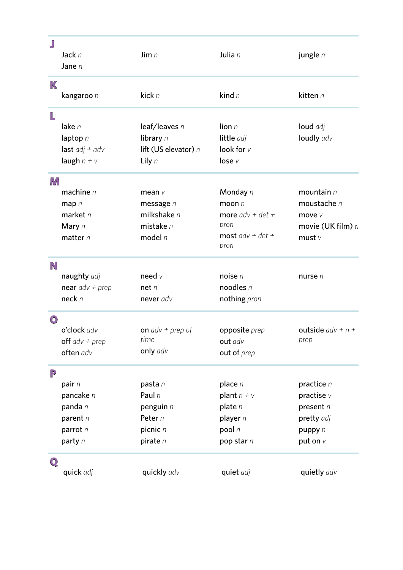| J              |                    |                      |                            |                     |
|----------------|--------------------|----------------------|----------------------------|---------------------|
|                | Jack n<br>Jane $n$ | Jim $n$              | Julia n                    | jungle n            |
| K              |                    |                      |                            |                     |
|                | kangaroo n         | kick n               | kind $n$                   | kitten $n$          |
| L              |                    |                      |                            |                     |
|                | lake n             | leaf/leaves n        | lion $n$                   | loud adj            |
|                | laptop $n$         | library n            | little adj                 | loudly adv          |
|                | last $adj + adv$   | lift (US elevator) n | look for v                 |                     |
|                | laugh $n + v$      | Lily $n$             | lose v                     |                     |
| M              |                    |                      |                            |                     |
|                | machine $n$        | mean $V$             | Monday n                   | mountain $n$        |
|                | $map$ n            | message $n$          | moon $n$                   | moustache $n$       |
|                | market $n$         | milkshake $n$        | more $adv + det +$         | move v              |
|                | Mary n             | mistake $n$          | pron                       | movie (UK film) n   |
|                | matter $n$         | model $n$            | most $adv + det +$<br>pron | must v              |
| N              |                    |                      |                            |                     |
|                | naughty adj        | need $v$             | noise $n$                  | nurse $n$           |
|                | near $adv + prep$  | net n                | noodles n                  |                     |
|                | neck <sub>n</sub>  | never adv            | nothing pron               |                     |
| $\circledcirc$ |                    |                      |                            |                     |
|                | o'clock adv        | on $adv + prep$ of   | opposite prep              | outside $adv + n +$ |
|                | off $adv + prep$   | time                 | out adv                    | prep                |
|                | often adv          | only adv             | out of prep                |                     |
| $\mathbb P$    |                    |                      |                            |                     |
|                | pair $n$           | pasta n              | place $n$                  | practice n          |
|                | pancake n          | Paul $n$             | plant $n + v$              | practise $v$        |
|                | panda n            | penguin $n$          | plate $n$                  | present n           |
|                | parent $n$         | Peter n              | player n                   | pretty adj          |
|                | parrot n           | picnic n             | pool $n$                   | puppy n             |
|                | party n            | pirate $n$           | pop star n                 | put on $V$          |
| $\mathbb{Q}$   |                    |                      |                            |                     |
|                | quick adj          | quickly adv          | quiet adj                  | quietly adv         |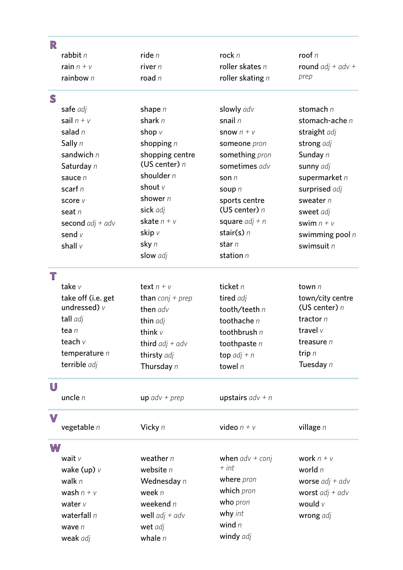| R            |                    |                         |                    |                     |
|--------------|--------------------|-------------------------|--------------------|---------------------|
|              | rabbit $n$         | ride <sub>n</sub>       | rock n             | roof $n$            |
|              | rain $n + v$       | river $n$               | roller skates $n$  | round $adj + adv +$ |
|              | rainbow $n$        | road $n$                | roller skating $n$ | prep                |
| $\mathbb S$  |                    |                         |                    |                     |
|              | safe adj           | shape $n$               | slowly adv         | stomach $n$         |
|              | sail $n + v$       | shark $n$               | snail $n$          | stomach-ache n      |
|              | salad $n$          | shop $V$                | snow $n + v$       | straight adj        |
|              | Sally n            | shopping $n$            | someone pron       | strong adj          |
|              | sandwich $n$       | shopping centre         | something pron     | Sunday n            |
|              | Saturday n         | (US center) $n$         | sometimes adv      | sunny adj           |
|              | sauce n            | shoulder $n$            | son $n$            | supermarket n       |
|              | scarf $n$          | shout $V$               | soup n             | surprised adj       |
|              | score v            | shower n                | sports centre      | sweater $n$         |
|              | seat $n$           | sick adj                | (US center) $n$    | sweet adj           |
|              | second $adj + adv$ | skate $n + v$           | square $adj + n$   | swim $n + v$        |
|              | send $v$           | skip v                  | stair(s) $n$       | swimming pool $n$   |
|              | shall v            | sky n                   | star $n$           | swimsuit n          |
|              |                    | slow adj                | station $n$        |                     |
| T            |                    |                         |                    |                     |
|              | take v             | text $n + v$            | ticket $n$         | town $n$            |
|              | take off (i.e. get | <b>than</b> conj + prep | tired adj          | town/city centre    |
|              | undressed) $\nu$   | then adv                | tooth/teeth n      | (US center) $n$     |
|              | tall adj           | thin adj                | toothache $n$      | tractor $n$         |
|              | tea n              | think $v$               | toothbrush $n$     | travel $V$          |
|              | teach v            | third $adj + adv$       | toothpaste $n$     | treasure $n$        |
|              | temperature $n$    | thirsty adj             | top $adj + n$      | trip $n$            |
|              | terrible adj       | Thursday n              | towel $n$          | Tuesday n           |
| U            |                    |                         |                    |                     |
|              | uncle $n$          | $up$ adv + prep         | upstairs $adv + n$ |                     |
| $\mathbb{V}$ |                    |                         |                    |                     |
|              | vegetable $n$      | Vicky n                 | video $n + v$      | village n           |
| W            |                    |                         |                    |                     |
|              | wait $v$           | weather $n$             | when $adv + conj$  | work $n + v$        |
|              | wake (up) $\nu$    | website $n$             | $+$ int            | world $n$           |
|              | walk $n$           | Wednesday n             | where pron         | worse $adj + adv$   |
|              | wash $n + v$       | week $n$                | which pron         | worst $adj + adv$   |
|              | water $v$          | weekend $n$             | who pron           | would $\nu$         |
|              | waterfall $n$      | well $adj + adv$        | why int            | wrong adj           |
|              | wave $n$           | wet adj                 | wind $n$           |                     |
|              | weak adj           | whale $n$               | windy adj          |                     |